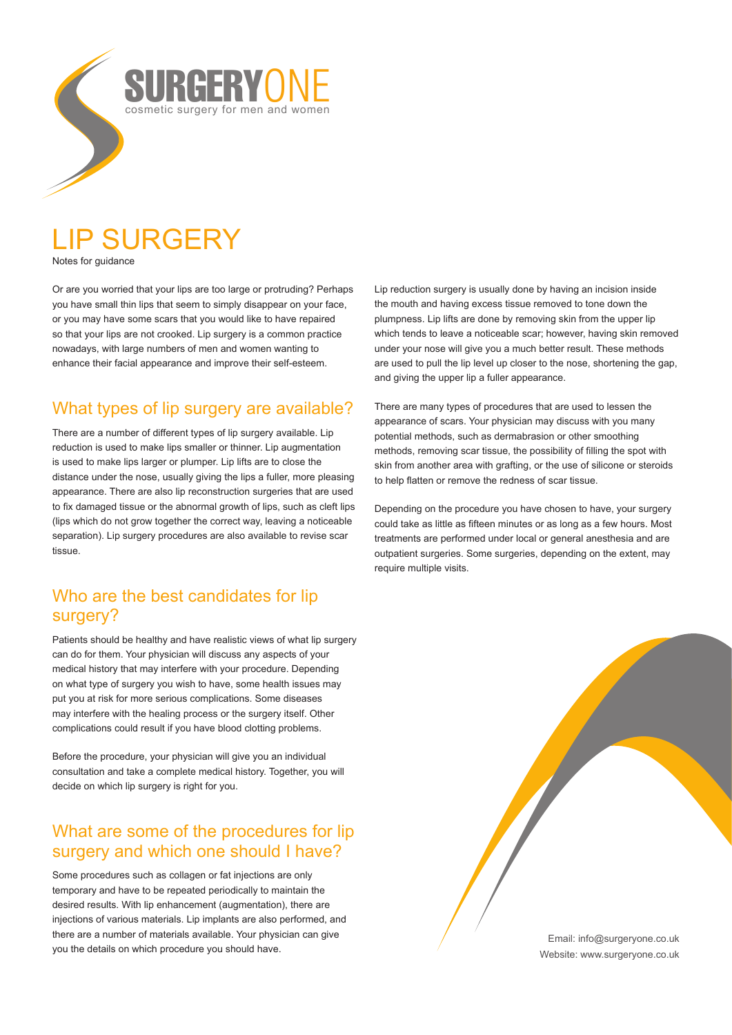# LIP SURGERY

Notes for guidance

Or are you worried that your lips are too large or protruding? Perhaps you have small thin lips that seem to simply disappear on your face, or you may have some scars that you would like to have repaired so that your lips are not crooked. Lip surgery is a common practice nowadays, with large numbers of men and women wanting to enhance their facial appearance and improve their self-esteem.

RASH

cosmetic surgery for men and women

## What types of lip surgery are available?

There are a number of different types of lip surgery available. Lip reduction is used to make lips smaller or thinner. Lip augmentation is used to make lips larger or plumper. Lip lifts are to close the distance under the nose, usually giving the lips a fuller, more pleasing appearance. There are also lip reconstruction surgeries that are used to fix damaged tissue or the abnormal growth of lips, such as cleft lips (lips which do not grow together the correct way, leaving a noticeable separation). Lip surgery procedures are also available to revise scar tissue

## Who are the best candidates for lip surgery?

Patients should be healthy and have realistic views of what lip surgery can do for them. Your physician will discuss any aspects of your medical history that may interfere with your procedure. Depending on what type of surgery you wish to have, some health issues may put you at risk for more serious complications. Some diseases may interfere with the healing process or the surgery itself. Other complications could result if you have blood clotting problems.

Before the procedure, your physician will give you an individual consultation and take a complete medical history. Together, you will decide on which lip surgery is right for you.

## What are some of the procedures for lip surgery and which one should I have?

Some procedures such as collagen or fat injections are only temporary and have to be repeated periodically to maintain the desired results. With lip enhancement (augmentation), there are injections of various materials. Lip implants are also performed, and there are a number of materials available. Your physician can give you the details on which procedure you should have.

Lip reduction surgery is usually done by having an incision inside the mouth and having excess tissue removed to tone down the plumpness. Lip lifts are done by removing skin from the upper lip which tends to leave a noticeable scar; however, having skin removed under your nose will give you a much better result. These methods are used to pull the lip level up closer to the nose, shortening the gap, and giving the upper lip a fuller appearance.

There are many types of procedures that are used to lessen the appearance of scars. Your physician may discuss with you many potential methods, such as dermabrasion or other smoothing methods, removing scar tissue, the possibility of filling the spot with skin from another area with grafting, or the use of silicone or steroids to help flatten or remove the redness of scar tissue.

Depending on the procedure you have chosen to have, your surgery could take as little as fifteen minutes or as long as a few hours. Most treatments are performed under local or general anesthesia and are outpatient surgeries. Some surgeries, depending on the extent, may require multiple visits.

> Email: info@surgeryone.co.uk Website: www.surgeryone.co.uk